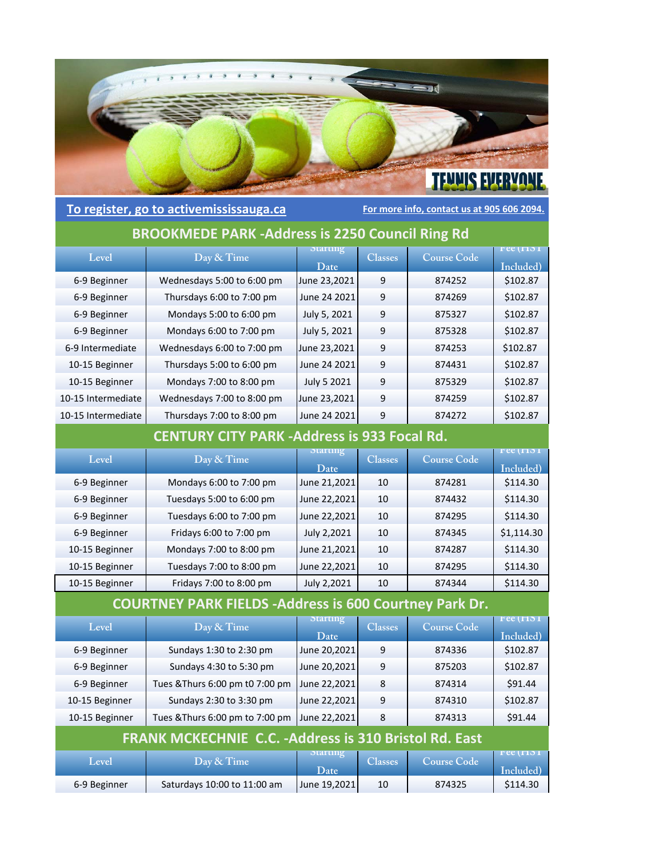

## **To register, go to activemississauga.ca For more info, contact us at 905 606 2094.**

## **BROOKMEDE PARK ‐Address is 2250 Council Ring Rd**

| Level              | Day & Time                 | <b>Starting</b><br>Date . | <b>Classes</b> | <b>Course Code</b> | $r$ ee ( $\Box$ ) 1<br>Included) |
|--------------------|----------------------------|---------------------------|----------------|--------------------|----------------------------------|
| 6-9 Beginner       | Wednesdays 5:00 to 6:00 pm | June 23,2021              | 9              | 874252             | \$102.87                         |
| 6-9 Beginner       | Thursdays 6:00 to 7:00 pm  | June 24 2021              | 9              | 874269             | \$102.87                         |
| 6-9 Beginner       | Mondays 5:00 to 6:00 pm    | July 5, 2021              | 9              | 875327             | \$102.87                         |
| 6-9 Beginner       | Mondays 6:00 to 7:00 pm    | July 5, 2021              | 9              | 875328             | \$102.87                         |
| 6-9 Intermediate   | Wednesdays 6:00 to 7:00 pm | June 23,2021              | 9              | 874253             | \$102.87                         |
| 10-15 Beginner     | Thursdays 5:00 to 6:00 pm  | June 24 2021              | 9              | 874431             | \$102.87                         |
| 10-15 Beginner     | Mondays 7:00 to 8:00 pm    | July 5 2021               | 9              | 875329             | \$102.87                         |
| 10-15 Intermediate | Wednesdays 7:00 to 8:00 pm | June 23,2021              | 9              | 874259             | \$102.87                         |
| 10-15 Intermediate | Thursdays 7:00 to 8:00 pm  | June 24 2021              | 9              | 874272             | \$102.87                         |

## **CENTURY CITY PARK ‐Address is 933 Focal Rd.**

| Level          | Day & Time               | <b>Starting</b> | <b>Classes</b> | <b>Course Code</b> | $r$ ee ( $\Box$ ) 1 |
|----------------|--------------------------|-----------------|----------------|--------------------|---------------------|
|                |                          | Date            |                |                    | Included)           |
| 6-9 Beginner   | Mondays 6:00 to 7:00 pm  | June 21,2021    | 10             | 874281             | \$114.30            |
| 6-9 Beginner   | Tuesdays 5:00 to 6:00 pm | June 22,2021    | 10             | 874432             | \$114.30            |
| 6-9 Beginner   | Tuesdays 6:00 to 7:00 pm | June 22,2021    | 10             | 874295             | \$114.30            |
| 6-9 Beginner   | Fridays 6:00 to 7:00 pm  | July 2,2021     | 10             | 874345             | \$1,114.30          |
| 10-15 Beginner | Mondays 7:00 to 8:00 pm  | June 21,2021    | 10             | 874287             | \$114.30            |
| 10-15 Beginner | Tuesdays 7:00 to 8:00 pm | June 22,2021    | 10             | 874295             | \$114.30            |
| 10-15 Beginner | Fridays 7:00 to 8:00 pm  | July 2,2021     | 10             | 874344             | \$114.30            |

## **COURTNEY PARK FIELDS ‐Address is 600 Courtney Park Dr.**

| Level                                                         | Day & Time                      | <b>Starting</b><br>Date  | <b>Classes</b> | <b>Course Code</b> | $r$ ee ( $\Box$ ) 1<br>Included) |
|---------------------------------------------------------------|---------------------------------|--------------------------|----------------|--------------------|----------------------------------|
| 6-9 Beginner                                                  | Sundays 1:30 to 2:30 pm         | June 20,2021             | 9              | 874336             | \$102.87                         |
| 6-9 Beginner                                                  | Sundays 4:30 to 5:30 pm         | June 20,2021             | 9              | 875203             | \$102.87                         |
| 6-9 Beginner                                                  | Tues & Thurs 6:00 pm t0 7:00 pm | June 22,2021             | 8              | 874314             | \$91.44                          |
| 10-15 Beginner                                                | Sundays 2:30 to 3:30 pm         | June 22,2021             | 9              | 874310             | \$102.87                         |
| 10-15 Beginner                                                | Tues & Thurs 6:00 pm to 7:00 pm | June 22,2021             | 8              | 874313             | \$91.44                          |
| <b>FRANK MCKECHNIE C.C. - Address is 310 Bristol Rd. East</b> |                                 |                          |                |                    |                                  |
| Level                                                         | Day & Time                      | <b>Starting</b><br>Date. | <b>Classes</b> | <b>Course Code</b> | $r$ ee ( $\Box$ ) 1<br>Included) |
| 6-9 Beginner                                                  | Saturdays 10:00 to 11:00 am     | June 19,2021             | 10             | 874325             | \$114.30                         |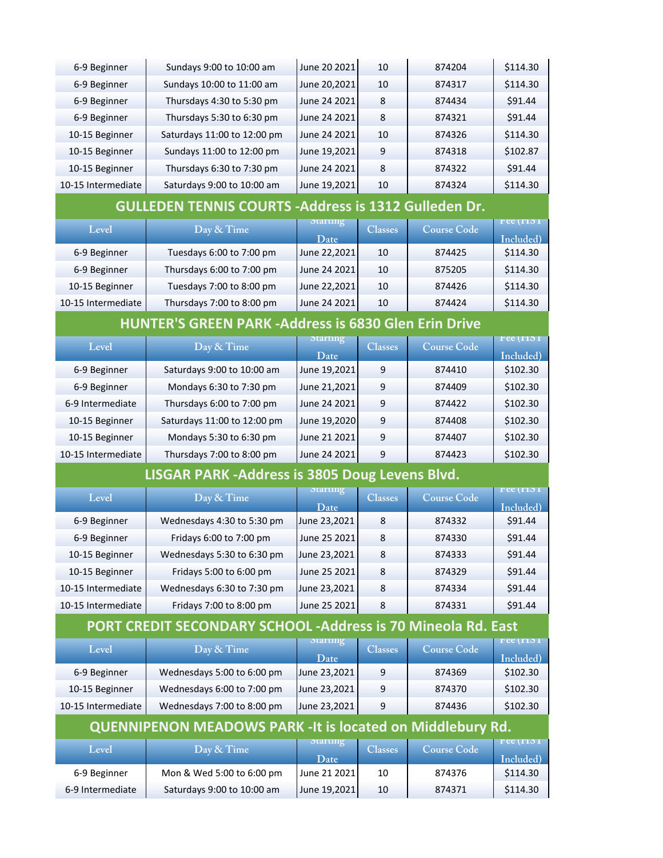| 6-9 Beginner                                                                                      | Sundays 9:00 to 10:00 am                                     | June 20 2021            | 10             | 874204             | \$114.30                                  |  |
|---------------------------------------------------------------------------------------------------|--------------------------------------------------------------|-------------------------|----------------|--------------------|-------------------------------------------|--|
| 6-9 Beginner                                                                                      | Sundays 10:00 to 11:00 am                                    | June 20,2021            | 10             | 874317             | \$114.30                                  |  |
| 6-9 Beginner                                                                                      | Thursdays 4:30 to 5:30 pm                                    | June 24 2021            | 8              | 874434             | \$91.44                                   |  |
| 6-9 Beginner                                                                                      | Thursdays 5:30 to 6:30 pm                                    | June 24 2021            | 8              | 874321             | \$91.44                                   |  |
| 10-15 Beginner                                                                                    | Saturdays 11:00 to 12:00 pm                                  | June 24 2021            | 10             | 874326             | \$114.30                                  |  |
| 10-15 Beginner                                                                                    | Sundays 11:00 to 12:00 pm                                    | June 19,2021            | 9              | 874318             | \$102.87                                  |  |
| 10-15 Beginner                                                                                    | Thursdays 6:30 to 7:30 pm                                    | June 24 2021            | 8              | 874322             | \$91.44                                   |  |
| 10-15 Intermediate                                                                                | Saturdays 9:00 to 10:00 am                                   | June 19,2021            | 10             | 874324             | \$114.30                                  |  |
|                                                                                                   | <b>GULLEDEN TENNIS COURTS - Address is 1312 Gulleden Dr.</b> |                         |                |                    |                                           |  |
| Level                                                                                             | Day & Time                                                   | otarting                | <b>Classes</b> | <b>Course Code</b> | 5 ree (1715 1                             |  |
|                                                                                                   |                                                              | Date                    |                |                    | Included)                                 |  |
| 6-9 Beginner                                                                                      | Tuesdays 6:00 to 7:00 pm                                     | June 22,2021            | 10             | 874425             | \$114.30                                  |  |
| 6-9 Beginner                                                                                      | Thursdays 6:00 to 7:00 pm                                    | June 24 2021            | 10             | 875205             | \$114.30                                  |  |
| 10-15 Beginner                                                                                    | Tuesdays 7:00 to 8:00 pm                                     | June 22,2021            | 10             | 874426             | \$114.30                                  |  |
| 10-15 Intermediate                                                                                | Thursdays 7:00 to 8:00 pm                                    | June 24 2021            | 10             | 874424             | \$114.30                                  |  |
|                                                                                                   | <b>HUNTER'S GREEN PARK - Address is 6830 Glen Erin Drive</b> |                         |                |                    |                                           |  |
| Level                                                                                             | Day & Time                                                   | Starting                | <b>Classes</b> | <b>Course Code</b> | 5 ree (1715 1                             |  |
|                                                                                                   |                                                              | Date                    |                |                    | Included)                                 |  |
| 6-9 Beginner                                                                                      | Saturdays 9:00 to 10:00 am                                   | June 19,2021            | 9              | 874410             | \$102.30                                  |  |
| 6-9 Beginner                                                                                      | Mondays 6:30 to 7:30 pm                                      | June 21,2021            | 9              | 874409             | \$102.30                                  |  |
| 6-9 Intermediate                                                                                  | Thursdays 6:00 to 7:00 pm                                    | June 24 2021            | 9              | 874422             | \$102.30                                  |  |
| 10-15 Beginner                                                                                    | Saturdays 11:00 to 12:00 pm                                  | June 19,2020            | 9              | 874408             | \$102.30                                  |  |
| 10-15 Beginner                                                                                    | Mondays 5:30 to 6:30 pm                                      | June 21 2021            | 9              | 874407             | \$102.30                                  |  |
| 10-15 Intermediate                                                                                | Thursdays 7:00 to 8:00 pm                                    | June 24 2021            | 9              | 874423             | \$102.30                                  |  |
| LISGAR PARK - Address is 3805 Doug Levens Blvd.                                                   |                                                              |                         |                |                    |                                           |  |
| Level                                                                                             | Day & Time                                                   | <b>Starting</b>         | <b>Classes</b> | <b>Course Code</b> | <b>Fee (H51</b>                           |  |
|                                                                                                   |                                                              | Date                    |                |                    | Included)                                 |  |
| 6-9 Beginner                                                                                      | Wednesdays 4:30 to 5:30 pm                                   | June 23,2021            | 8              | 874332             | \$91.44                                   |  |
| 6-9 Beginner                                                                                      | Fridays 6:00 to 7:00 pm                                      | June 25 2021            | 8              | 874330             | \$91.44                                   |  |
| 10-15 Beginner                                                                                    | Wednesdays 5:30 to 6:30 pm                                   | June 23,2021            | 8              | 874333             | \$91.44                                   |  |
| 10-15 Beginner                                                                                    | Fridays 5:00 to 6:00 pm                                      | June 25 2021            | 8              | 874329             | \$91.44                                   |  |
| 10-15 Intermediate                                                                                | Wednesdays 6:30 to 7:30 pm                                   | June 23,2021            | 8              | 874334             | \$91.44                                   |  |
| 10-15 Intermediate                                                                                | Fridays 7:00 to 8:00 pm                                      | June 25 2021            | 8              | 874331             | \$91.44                                   |  |
| <b>PORT CREDIT SECONDARY SCHOOL -Address is 70 Mineola Rd. East</b>                               |                                                              |                         |                |                    |                                           |  |
| Level                                                                                             | Day & Time                                                   | <b>Starting</b><br>Date | <b>Classes</b> | <b>Course Code</b> | $r$ ee ( $\overline{r}$ 15 1<br>Included) |  |
| 6-9 Beginner                                                                                      | Wednesdays 5:00 to 6:00 pm                                   | June 23,2021            | 9              | 874369             | \$102.30                                  |  |
| 10-15 Beginner                                                                                    | Wednesdays 6:00 to 7:00 pm                                   | June 23,2021            | 9              | 874370             | \$102.30                                  |  |
| 10-15 Intermediate                                                                                | Wednesdays 7:00 to 8:00 pm                                   | June 23,2021            | 9              | 874436             | \$102.30                                  |  |
|                                                                                                   |                                                              |                         |                |                    |                                           |  |
| <b>QUENNIPENON MEADOWS PARK - It is located on Middlebury Rd.</b><br>otarting<br><b>ree (1771</b> |                                                              |                         |                |                    |                                           |  |
| Level                                                                                             | Day & Time                                                   | Date                    | <b>Classes</b> | <b>Course Code</b> | Included)                                 |  |
| 6-9 Beginner                                                                                      | Mon & Wed 5:00 to 6:00 pm                                    | June 21 2021            | 10             | 874376             | \$114.30                                  |  |
| 6-9 Intermediate                                                                                  | Saturdays 9:00 to 10:00 am                                   | June 19,2021            | 10             | 874371             | \$114.30                                  |  |